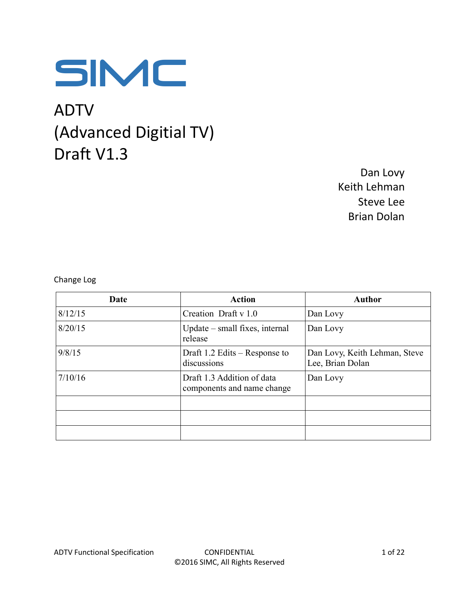

# ADTV (Advanced Digitial TV) Draft V1.3

Dan Lovy Keith Lehman Steve Lee Brian Dolan

Change Log

| Date    | <b>Action</b>                                            | <b>Author</b>                                     |
|---------|----------------------------------------------------------|---------------------------------------------------|
| 8/12/15 | Creation Draft v 1.0                                     | Dan Lovy                                          |
| 8/20/15 | Update – small fixes, internal<br>release                | Dan Lovy                                          |
| 9/8/15  | Draft $1.2$ Edits – Response to<br>discussions           | Dan Lovy, Keith Lehman, Steve<br>Lee, Brian Dolan |
| 7/10/16 | Draft 1.3 Addition of data<br>components and name change | Dan Lovy                                          |
|         |                                                          |                                                   |
|         |                                                          |                                                   |
|         |                                                          |                                                   |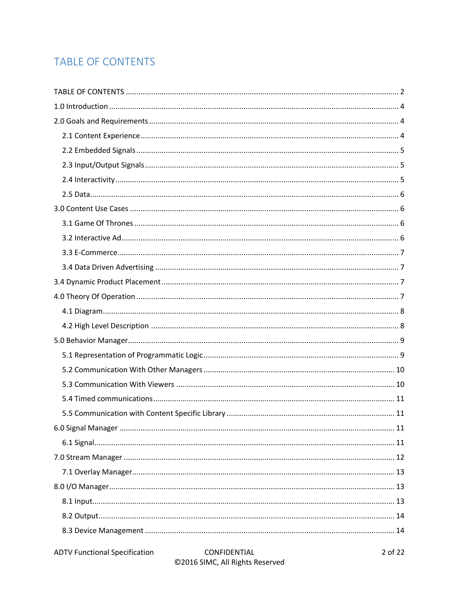# **TABLE OF CONTENTS**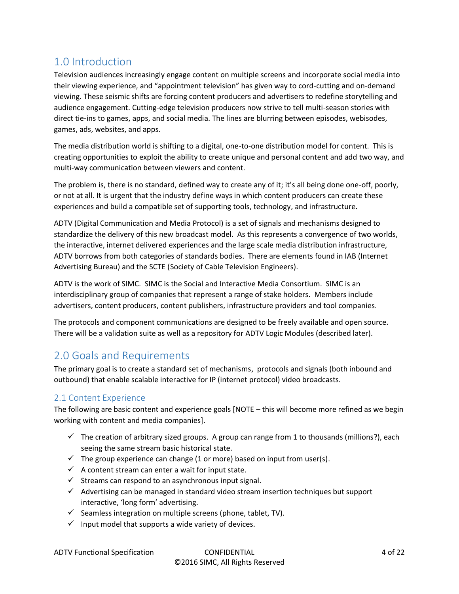# 1.0 Introduction

Television audiences increasingly engage content on multiple screens and incorporate social media into their viewing experience, and "appointment television" has given way to cord-cutting and on-demand viewing. These seismic shifts are forcing content producers and advertisers to redefine storytelling and audience engagement. Cutting-edge television producers now strive to tell multi-season stories with direct tie-ins to games, apps, and social media. The lines are blurring between episodes, webisodes, games, ads, websites, and apps.

The media distribution world is shifting to a digital, one-to-one distribution model for content. This is creating opportunities to exploit the ability to create unique and personal content and add two way, and multi-way communication between viewers and content.

The problem is, there is no standard, defined way to create any of it; it's all being done one-off, poorly, or not at all. It is urgent that the industry define ways in which content producers can create these experiences and build a compatible set of supporting tools, technology, and infrastructure.

ADTV (Digital Communication and Media Protocol) is a set of signals and mechanisms designed to standardize the delivery of this new broadcast model. As this represents a convergence of two worlds, the interactive, internet delivered experiences and the large scale media distribution infrastructure, ADTV borrows from both categories of standards bodies. There are elements found in IAB (Internet Advertising Bureau) and the SCTE (Society of Cable Television Engineers).

ADTV is the work of SIMC. SIMC is the Social and Interactive Media Consortium. SIMC is an interdisciplinary group of companies that represent a range of stake holders. Members include advertisers, content producers, content publishers, infrastructure providers and tool companies.

The protocols and component communications are designed to be freely available and open source. There will be a validation suite as well as a repository for ADTV Logic Modules (described later).

# 2.0 Goals and Requirements

The primary goal is to create a standard set of mechanisms, protocols and signals (both inbound and outbound) that enable scalable interactive for IP (internet protocol) video broadcasts.

### 2.1 Content Experience

The following are basic content and experience goals [NOTE – this will become more refined as we begin working with content and media companies].

- $\checkmark$  The creation of arbitrary sized groups. A group can range from 1 to thousands (millions?), each seeing the same stream basic historical state.
- $\checkmark$  The group experience can change (1 or more) based on input from user(s).
- $\checkmark$  A content stream can enter a wait for input state.
- $\checkmark$  Streams can respond to an asynchronous input signal.
- $\checkmark$  Advertising can be managed in standard video stream insertion techniques but support interactive, 'long form' advertising.
- $\checkmark$  Seamless integration on multiple screens (phone, tablet, TV).
- $\checkmark$  Input model that supports a wide variety of devices.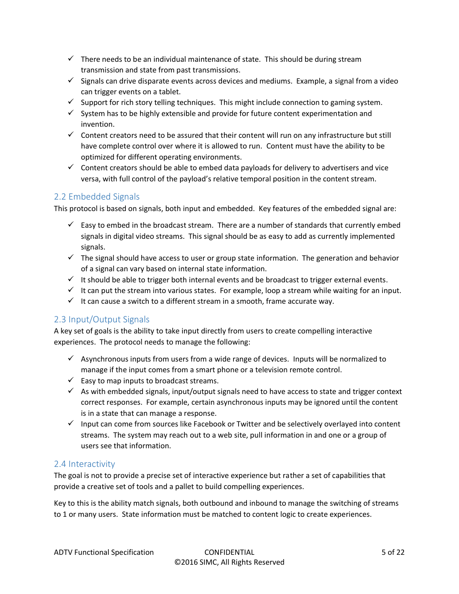- $\checkmark$  There needs to be an individual maintenance of state. This should be during stream transmission and state from past transmissions.
- $\checkmark$  Signals can drive disparate events across devices and mediums. Example, a signal from a video can trigger events on a tablet.
- $\checkmark$  Support for rich story telling techniques. This might include connection to gaming system.
- $\checkmark$  System has to be highly extensible and provide for future content experimentation and invention.
- $\checkmark$  Content creators need to be assured that their content will run on any infrastructure but still have complete control over where it is allowed to run. Content must have the ability to be optimized for different operating environments.
- $\checkmark$  Content creators should be able to embed data payloads for delivery to advertisers and vice versa, with full control of the payload's relative temporal position in the content stream.

#### 2.2 Embedded Signals

This protocol is based on signals, both input and embedded. Key features of the embedded signal are:

- $\checkmark$  Easy to embed in the broadcast stream. There are a number of standards that currently embed signals in digital video streams. This signal should be as easy to add as currently implemented signals.
- $\checkmark$  The signal should have access to user or group state information. The generation and behavior of a signal can vary based on internal state information.
- $\checkmark$  It should be able to trigger both internal events and be broadcast to trigger external events.
- $\checkmark$  It can put the stream into various states. For example, loop a stream while waiting for an input.
- $\checkmark$  It can cause a switch to a different stream in a smooth, frame accurate way.

#### 2.3 Input/Output Signals

A key set of goals is the ability to take input directly from users to create compelling interactive experiences. The protocol needs to manage the following:

- $\checkmark$  Asynchronous inputs from users from a wide range of devices. Inputs will be normalized to manage if the input comes from a smart phone or a television remote control.
- $\checkmark$  Easy to map inputs to broadcast streams.
- $\checkmark$  As with embedded signals, input/output signals need to have access to state and trigger context correct responses. For example, certain asynchronous inputs may be ignored until the content is in a state that can manage a response.
- $\checkmark$  Input can come from sources like Facebook or Twitter and be selectively overlayed into content streams. The system may reach out to a web site, pull information in and one or a group of users see that information.

#### 2.4 Interactivity

The goal is not to provide a precise set of interactive experience but rather a set of capabilities that provide a creative set of tools and a pallet to build compelling experiences.

Key to this is the ability match signals, both outbound and inbound to manage the switching of streams to 1 or many users. State information must be matched to content logic to create experiences.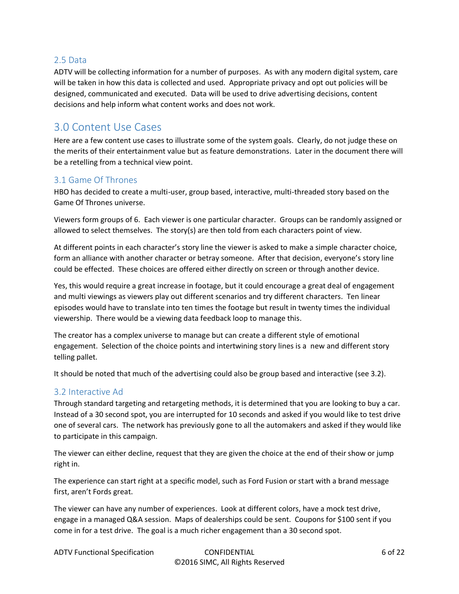#### 2.5 Data

ADTV will be collecting information for a number of purposes. As with any modern digital system, care will be taken in how this data is collected and used. Appropriate privacy and opt out policies will be designed, communicated and executed. Data will be used to drive advertising decisions, content decisions and help inform what content works and does not work.

### 3.0 Content Use Cases

Here are a few content use cases to illustrate some of the system goals. Clearly, do not judge these on the merits of their entertainment value but as feature demonstrations. Later in the document there will be a retelling from a technical view point.

#### 3.1 Game Of Thrones

HBO has decided to create a multi-user, group based, interactive, multi-threaded story based on the Game Of Thrones universe.

Viewers form groups of 6. Each viewer is one particular character. Groups can be randomly assigned or allowed to select themselves. The story(s) are then told from each characters point of view.

At different points in each character's story line the viewer is asked to make a simple character choice, form an alliance with another character or betray someone. After that decision, everyone's story line could be effected. These choices are offered either directly on screen or through another device.

Yes, this would require a great increase in footage, but it could encourage a great deal of engagement and multi viewings as viewers play out different scenarios and try different characters. Ten linear episodes would have to translate into ten times the footage but result in twenty times the individual viewership. There would be a viewing data feedback loop to manage this.

The creator has a complex universe to manage but can create a different style of emotional engagement. Selection of the choice points and intertwining story lines is a new and different story telling pallet.

It should be noted that much of the advertising could also be group based and interactive (see 3.2).

#### 3.2 Interactive Ad

Through standard targeting and retargeting methods, it is determined that you are looking to buy a car. Instead of a 30 second spot, you are interrupted for 10 seconds and asked if you would like to test drive one of several cars. The network has previously gone to all the automakers and asked if they would like to participate in this campaign.

The viewer can either decline, request that they are given the choice at the end of their show or jump right in.

The experience can start right at a specific model, such as Ford Fusion or start with a brand message first, aren't Fords great.

The viewer can have any number of experiences. Look at different colors, have a mock test drive, engage in a managed Q&A session. Maps of dealerships could be sent. Coupons for \$100 sent if you come in for a test drive. The goal is a much richer engagement than a 30 second spot.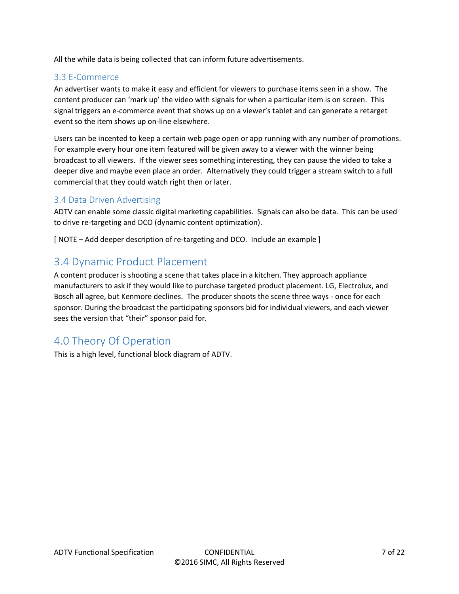All the while data is being collected that can inform future advertisements.

#### 3.3 E-Commerce

An advertiser wants to make it easy and efficient for viewers to purchase items seen in a show. The content producer can 'mark up' the video with signals for when a particular item is on screen. This signal triggers an e-commerce event that shows up on a viewer's tablet and can generate a retarget event so the item shows up on-line elsewhere.

Users can be incented to keep a certain web page open or app running with any number of promotions. For example every hour one item featured will be given away to a viewer with the winner being broadcast to all viewers. If the viewer sees something interesting, they can pause the video to take a deeper dive and maybe even place an order. Alternatively they could trigger a stream switch to a full commercial that they could watch right then or later.

#### 3.4 Data Driven Advertising

ADTV can enable some classic digital marketing capabilities. Signals can also be data. This can be used to drive re-targeting and DCO (dynamic content optimization).

[ NOTE – Add deeper description of re-targeting and DCO. Include an example ]

### 3.4 Dynamic Product Placement

A content producer is shooting a scene that takes place in a kitchen. They approach appliance manufacturers to ask if they would like to purchase targeted product placement. LG, Electrolux, and Bosch all agree, but Kenmore declines. The producer shoots the scene three ways - once for each sponsor. During the broadcast the participating sponsors bid for individual viewers, and each viewer sees the version that "their" sponsor paid for.

# 4.0 Theory Of Operation

This is a high level, functional block diagram of ADTV.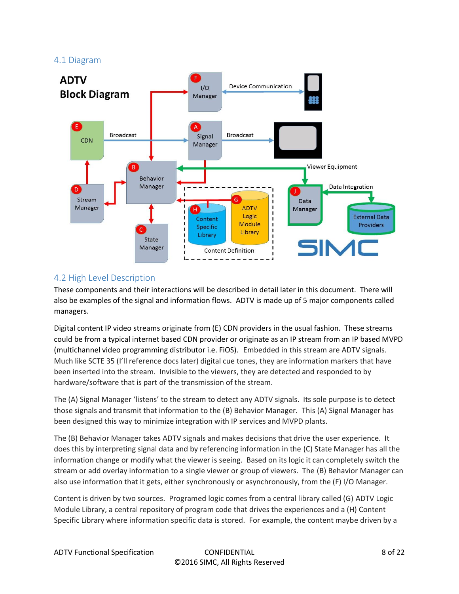#### 4.1 Diagram



#### 4.2 High Level Description

These components and their interactions will be described in detail later in this document. There will also be examples of the signal and information flows. ADTV is made up of 5 major components called managers.

Digital content IP video streams originate from (E) CDN providers in the usual fashion. These streams could be from a typical internet based CDN provider or originate as an IP stream from an IP based MVPD (multichannel video programming distributor i.e. FiOS). Embedded in this stream are ADTV signals. Much like SCTE 35 (I'll reference docs later) digital cue tones, they are information markers that have been inserted into the stream. Invisible to the viewers, they are detected and responded to by hardware/software that is part of the transmission of the stream.

The (A) Signal Manager 'listens' to the stream to detect any ADTV signals. Its sole purpose is to detect those signals and transmit that information to the (B) Behavior Manager. This (A) Signal Manager has been designed this way to minimize integration with IP services and MVPD plants.

The (B) Behavior Manager takes ADTV signals and makes decisions that drive the user experience. It does this by interpreting signal data and by referencing information in the (C) State Manager has all the information change or modify what the viewer is seeing. Based on its logic it can completely switch the stream or add overlay information to a single viewer or group of viewers. The (B) Behavior Manager can also use information that it gets, either synchronously or asynchronously, from the (F) I/O Manager.

Content is driven by two sources. Programed logic comes from a central library called (G) ADTV Logic Module Library, a central repository of program code that drives the experiences and a (H) Content Specific Library where information specific data is stored. For example, the content maybe driven by a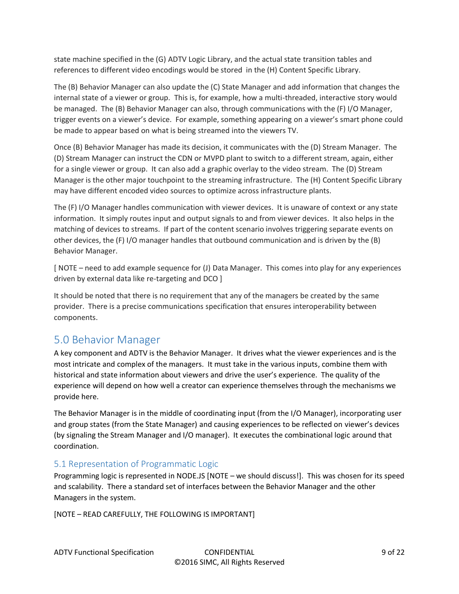state machine specified in the (G) ADTV Logic Library, and the actual state transition tables and references to different video encodings would be stored in the (H) Content Specific Library.

The (B) Behavior Manager can also update the (C) State Manager and add information that changes the internal state of a viewer or group. This is, for example, how a multi-threaded, interactive story would be managed. The (B) Behavior Manager can also, through communications with the (F) I/O Manager, trigger events on a viewer's device. For example, something appearing on a viewer's smart phone could be made to appear based on what is being streamed into the viewers TV.

Once (B) Behavior Manager has made its decision, it communicates with the (D) Stream Manager. The (D) Stream Manager can instruct the CDN or MVPD plant to switch to a different stream, again, either for a single viewer or group. It can also add a graphic overlay to the video stream. The (D) Stream Manager is the other major touchpoint to the streaming infrastructure. The (H) Content Specific Library may have different encoded video sources to optimize across infrastructure plants.

The (F) I/O Manager handles communication with viewer devices. It is unaware of context or any state information. It simply routes input and output signals to and from viewer devices. It also helps in the matching of devices to streams. If part of the content scenario involves triggering separate events on other devices, the (F) I/O manager handles that outbound communication and is driven by the (B) Behavior Manager.

[ NOTE – need to add example sequence for (J) Data Manager. This comes into play for any experiences driven by external data like re-targeting and DCO ]

It should be noted that there is no requirement that any of the managers be created by the same provider. There is a precise communications specification that ensures interoperability between components.

## 5.0 Behavior Manager

A key component and ADTV is the Behavior Manager. It drives what the viewer experiences and is the most intricate and complex of the managers. It must take in the various inputs, combine them with historical and state information about viewers and drive the user's experience. The quality of the experience will depend on how well a creator can experience themselves through the mechanisms we provide here.

The Behavior Manager is in the middle of coordinating input (from the I/O Manager), incorporating user and group states (from the State Manager) and causing experiences to be reflected on viewer's devices (by signaling the Stream Manager and I/O manager). It executes the combinational logic around that coordination.

#### 5.1 Representation of Programmatic Logic

Programming logic is represented in NODE.JS [NOTE – we should discuss!]. This was chosen for its speed and scalability. There a standard set of interfaces between the Behavior Manager and the other Managers in the system.

[NOTE – READ CAREFULLY, THE FOLLOWING IS IMPORTANT]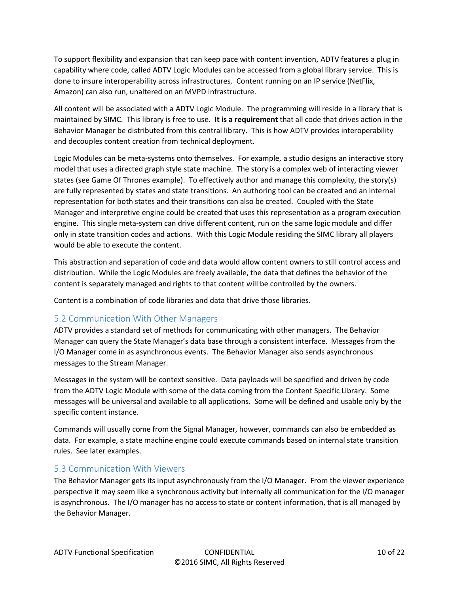To support flexibility and expansion that can keep pace with content invention, ADTV features a plug in capability where code, called ADTV Logic Modules can be accessed from a global library service. This is done to insure interoperability across infrastructures. Content running on an IP service (NetFlix, Amazon) can also run, unaltered on an MVPD infrastructure.

All content will be associated with a ADTV Logic Module. The programming will reside in a library that is maintained by SIMC. This library is free to use. **It is a requirement** that all code that drives action in the Behavior Manager be distributed from this central library. This is how ADTV provides interoperability and decouples content creation from technical deployment.

Logic Modules can be meta-systems onto themselves. For example, a studio designs an interactive story model that uses a directed graph style state machine. The story is a complex web of interacting viewer states (see Game Of Thrones example). To effectively author and manage this complexity, the story(s) are fully represented by states and state transitions. An authoring tool can be created and an internal representation for both states and their transitions can also be created. Coupled with the State Manager and interpretive engine could be created that uses this representation as a program execution engine. This single meta-system can drive different content, run on the same logic module and differ only in state transition codes and actions. With this Logic Module residing the SIMC library all players would be able to execute the content.

This abstraction and separation of code and data would allow content owners to still control access and distribution. While the Logic Modules are freely available, the data that defines the behavior of the content is separately managed and rights to that content will be controlled by the owners.

Content is a combination of code libraries and data that drive those libraries.

#### 5.2 Communication With Other Managers

ADTV provides a standard set of methods for communicating with other managers. The Behavior Manager can query the State Manager's data base through a consistent interface. Messages from the I/O Manager come in as asynchronous events. The Behavior Manager also sends asynchronous messages to the Stream Manager.

Messages in the system will be context sensitive. Data payloads will be specified and driven by code from the ADTV Logic Module with some of the data coming from the Content Specific Library. Some messages will be universal and available to all applications. Some will be defined and usable only by the specific content instance.

Commands will usually come from the Signal Manager, however, commands can also be embedded as data. For example, a state machine engine could execute commands based on internal state transition rules. See later examples.

#### 5.3 Communication With Viewers

The Behavior Manager gets its input asynchronously from the I/O Manager. From the viewer experience perspective it may seem like a synchronous activity but internally all communication for the I/O manager is asynchronous. The I/O manager has no access to state or content information, that is all managed by the Behavior Manager.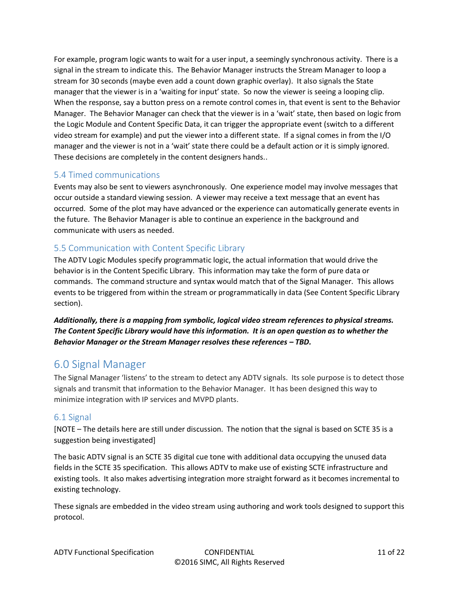For example, program logic wants to wait for a user input, a seemingly synchronous activity. There is a signal in the stream to indicate this. The Behavior Manager instructs the Stream Manager to loop a stream for 30 seconds (maybe even add a count down graphic overlay). It also signals the State manager that the viewer is in a 'waiting for input' state. So now the viewer is seeing a looping clip. When the response, say a button press on a remote control comes in, that event is sent to the Behavior Manager. The Behavior Manager can check that the viewer is in a 'wait' state, then based on logic from the Logic Module and Content Specific Data, it can trigger the appropriate event (switch to a different video stream for example) and put the viewer into a different state. If a signal comes in from the I/O manager and the viewer is not in a 'wait' state there could be a default action or it is simply ignored. These decisions are completely in the content designers hands..

#### 5.4 Timed communications

Events may also be sent to viewers asynchronously. One experience model may involve messages that occur outside a standard viewing session. A viewer may receive a text message that an event has occurred. Some of the plot may have advanced or the experience can automatically generate events in the future. The Behavior Manager is able to continue an experience in the background and communicate with users as needed.

#### 5.5 Communication with Content Specific Library

The ADTV Logic Modules specify programmatic logic, the actual information that would drive the behavior is in the Content Specific Library. This information may take the form of pure data or commands. The command structure and syntax would match that of the Signal Manager. This allows events to be triggered from within the stream or programmatically in data (See Content Specific Library section).

*Additionally, there is a mapping from symbolic, logical video stream references to physical streams. The Content Specific Library would have this information. It is an open question as to whether the Behavior Manager or the Stream Manager resolves these references – TBD.*

## 6.0 Signal Manager

The Signal Manager 'listens' to the stream to detect any ADTV signals. Its sole purpose is to detect those signals and transmit that information to the Behavior Manager. It has been designed this way to minimize integration with IP services and MVPD plants.

#### 6.1 Signal

[NOTE – The details here are still under discussion. The notion that the signal is based on SCTE 35 is a suggestion being investigated]

The basic ADTV signal is an SCTE 35 digital cue tone with additional data occupying the unused data fields in the SCTE 35 specification. This allows ADTV to make use of existing SCTE infrastructure and existing tools. It also makes advertising integration more straight forward as it becomes incremental to existing technology.

These signals are embedded in the video stream using authoring and work tools designed to support this protocol.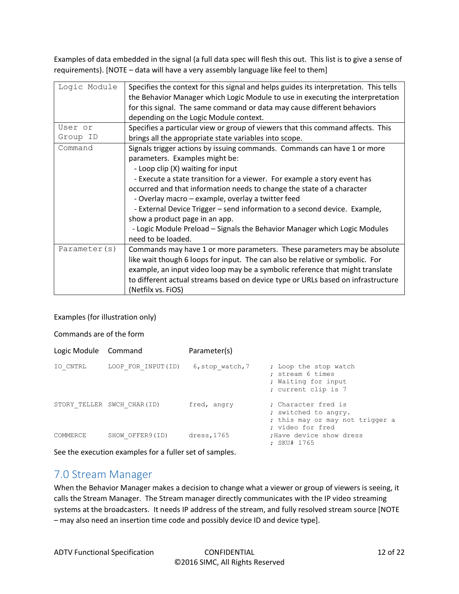Examples of data embedded in the signal (a full data spec will flesh this out. This list is to give a sense of requirements). [NOTE – data will have a very assembly language like feel to them]

| Logic Module<br>Specifies the context for this signal and helps guides its interpretation. This tells |                                                                                |  |  |
|-------------------------------------------------------------------------------------------------------|--------------------------------------------------------------------------------|--|--|
|                                                                                                       |                                                                                |  |  |
|                                                                                                       | the Behavior Manager which Logic Module to use in executing the interpretation |  |  |
| for this signal. The same command or data may cause different behaviors                               |                                                                                |  |  |
| depending on the Logic Module context.                                                                |                                                                                |  |  |
| Specifies a particular view or group of viewers that this command affects. This<br>User or            |                                                                                |  |  |
| Group ID<br>brings all the appropriate state variables into scope.                                    |                                                                                |  |  |
| Command<br>Signals trigger actions by issuing commands. Commands can have 1 or more                   |                                                                                |  |  |
| parameters. Examples might be:                                                                        |                                                                                |  |  |
| - Loop clip (X) waiting for input                                                                     |                                                                                |  |  |
| - Execute a state transition for a viewer. For example a story event has                              |                                                                                |  |  |
| occurred and that information needs to change the state of a character                                |                                                                                |  |  |
| - Overlay macro – example, overlay a twitter feed                                                     |                                                                                |  |  |
| - External Device Trigger - send information to a second device. Example,                             |                                                                                |  |  |
| show a product page in an app.                                                                        |                                                                                |  |  |
| - Logic Module Preload - Signals the Behavior Manager which Logic Modules                             |                                                                                |  |  |
| need to be loaded.                                                                                    |                                                                                |  |  |
| Parameter(s)<br>Commands may have 1 or more parameters. These parameters may be absolute              |                                                                                |  |  |
| like wait though 6 loops for input. The can also be relative or symbolic. For                         |                                                                                |  |  |
| example, an input video loop may be a symbolic reference that might translate                         |                                                                                |  |  |
| to different actual streams based on device type or URLs based on infrastructure                      |                                                                                |  |  |
| (Netfilx vs. FiOS)                                                                                    |                                                                                |  |  |

#### Examples (for illustration only)

Commands are of the form

| Logic Module Command |                            | Parameter(s)     |                                                                                                    |
|----------------------|----------------------------|------------------|----------------------------------------------------------------------------------------------------|
| IO CNTRL             | LOOP FOR INPUT (ID)        | 6, stop watch, 7 | ; Loop the stop watch<br>; stream 6 times<br>; Waiting for input<br>; current clip is 7            |
|                      | STORY TELLER SWCH CHAR(ID) | fred, angry      | : Character fred is<br>; switched to angry.<br>; this may or may not trigger a<br>: video for fred |
| COMMERCE             | SHOW OFFER9(ID)            | dress, 1765      | : Have device show dress<br>: SKU# 1765                                                            |

See the execution examples for a fuller set of samples.

#### 7.0 Stream Manager

When the Behavior Manager makes a decision to change what a viewer or group of viewers is seeing, it calls the Stream Manager. The Stream manager directly communicates with the IP video streaming systems at the broadcasters. It needs IP address of the stream, and fully resolved stream source [NOTE – may also need an insertion time code and possibly device ID and device type].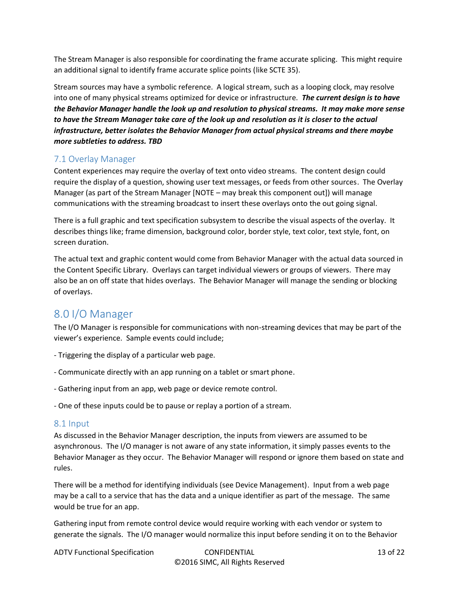The Stream Manager is also responsible for coordinating the frame accurate splicing. This might require an additional signal to identify frame accurate splice points (like SCTE 35).

Stream sources may have a symbolic reference. A logical stream, such as a looping clock, may resolve into one of many physical streams optimized for device or infrastructure. *The current design is to have the Behavior Manager handle the look up and resolution to physical streams. It may make more sense to have the Stream Manager take care of the look up and resolution as it is closer to the actual infrastructure, better isolates the Behavior Manager from actual physical streams and there maybe more subtleties to address. TBD*

#### 7.1 Overlay Manager

Content experiences may require the overlay of text onto video streams. The content design could require the display of a question, showing user text messages, or feeds from other sources. The Overlay Manager (as part of the Stream Manager [NOTE – may break this component out]) will manage communications with the streaming broadcast to insert these overlays onto the out going signal.

There is a full graphic and text specification subsystem to describe the visual aspects of the overlay. It describes things like; frame dimension, background color, border style, text color, text style, font, on screen duration.

The actual text and graphic content would come from Behavior Manager with the actual data sourced in the Content Specific Library. Overlays can target individual viewers or groups of viewers. There may also be an on off state that hides overlays. The Behavior Manager will manage the sending or blocking of overlays.

## 8.0 I/O Manager

The I/O Manager is responsible for communications with non-streaming devices that may be part of the viewer's experience. Sample events could include;

- Triggering the display of a particular web page.
- Communicate directly with an app running on a tablet or smart phone.
- Gathering input from an app, web page or device remote control.
- One of these inputs could be to pause or replay a portion of a stream.

#### 8.1 Input

As discussed in the Behavior Manager description, the inputs from viewers are assumed to be asynchronous. The I/O manager is not aware of any state information, it simply passes events to the Behavior Manager as they occur. The Behavior Manager will respond or ignore them based on state and rules.

There will be a method for identifying individuals (see Device Management). Input from a web page may be a call to a service that has the data and a unique identifier as part of the message. The same would be true for an app.

Gathering input from remote control device would require working with each vendor or system to generate the signals. The I/O manager would normalize this input before sending it on to the Behavior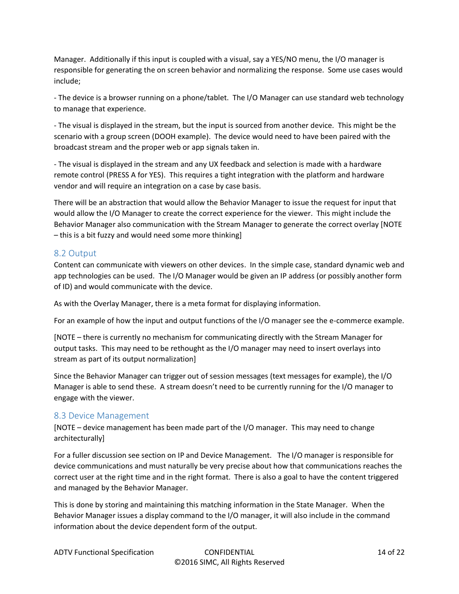Manager. Additionally if this input is coupled with a visual, say a YES/NO menu, the I/O manager is responsible for generating the on screen behavior and normalizing the response. Some use cases would include;

- The device is a browser running on a phone/tablet. The I/O Manager can use standard web technology to manage that experience.

- The visual is displayed in the stream, but the input is sourced from another device. This might be the scenario with a group screen (DOOH example). The device would need to have been paired with the broadcast stream and the proper web or app signals taken in.

- The visual is displayed in the stream and any UX feedback and selection is made with a hardware remote control (PRESS A for YES). This requires a tight integration with the platform and hardware vendor and will require an integration on a case by case basis.

There will be an abstraction that would allow the Behavior Manager to issue the request for input that would allow the I/O Manager to create the correct experience for the viewer. This might include the Behavior Manager also communication with the Stream Manager to generate the correct overlay [NOTE – this is a bit fuzzy and would need some more thinking]

#### 8.2 Output

Content can communicate with viewers on other devices. In the simple case, standard dynamic web and app technologies can be used. The I/O Manager would be given an IP address (or possibly another form of ID) and would communicate with the device.

As with the Overlay Manager, there is a meta format for displaying information.

For an example of how the input and output functions of the I/O manager see the e-commerce example.

[NOTE – there is currently no mechanism for communicating directly with the Stream Manager for output tasks. This may need to be rethought as the I/O manager may need to insert overlays into stream as part of its output normalization]

Since the Behavior Manager can trigger out of session messages (text messages for example), the I/O Manager is able to send these. A stream doesn't need to be currently running for the I/O manager to engage with the viewer.

#### 8.3 Device Management

[NOTE – device management has been made part of the I/O manager. This may need to change architecturally]

For a fuller discussion see section on IP and Device Management. The I/O manager is responsible for device communications and must naturally be very precise about how that communications reaches the correct user at the right time and in the right format. There is also a goal to have the content triggered and managed by the Behavior Manager.

This is done by storing and maintaining this matching information in the State Manager. When the Behavior Manager issues a display command to the I/O manager, it will also include in the command information about the device dependent form of the output.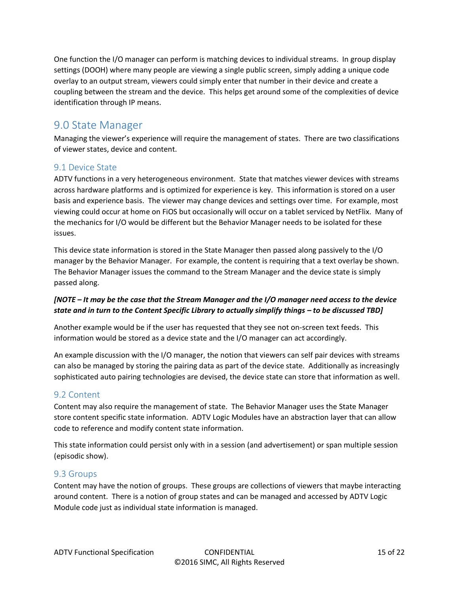One function the I/O manager can perform is matching devices to individual streams. In group display settings (DOOH) where many people are viewing a single public screen, simply adding a unique code overlay to an output stream, viewers could simply enter that number in their device and create a coupling between the stream and the device. This helps get around some of the complexities of device identification through IP means.

## 9.0 State Manager

Managing the viewer's experience will require the management of states. There are two classifications of viewer states, device and content.

#### 9.1 Device State

ADTV functions in a very heterogeneous environment. State that matches viewer devices with streams across hardware platforms and is optimized for experience is key. This information is stored on a user basis and experience basis. The viewer may change devices and settings over time. For example, most viewing could occur at home on FiOS but occasionally will occur on a tablet serviced by NetFlix. Many of the mechanics for I/O would be different but the Behavior Manager needs to be isolated for these issues.

This device state information is stored in the State Manager then passed along passively to the I/O manager by the Behavior Manager. For example, the content is requiring that a text overlay be shown. The Behavior Manager issues the command to the Stream Manager and the device state is simply passed along.

#### *[NOTE – It may be the case that the Stream Manager and the I/O manager need access to the device state and in turn to the Content Specific Library to actually simplify things – to be discussed TBD]*

Another example would be if the user has requested that they see not on-screen text feeds. This information would be stored as a device state and the I/O manager can act accordingly.

An example discussion with the I/O manager, the notion that viewers can self pair devices with streams can also be managed by storing the pairing data as part of the device state. Additionally as increasingly sophisticated auto pairing technologies are devised, the device state can store that information as well.

#### 9.2 Content

Content may also require the management of state. The Behavior Manager uses the State Manager store content specific state information. ADTV Logic Modules have an abstraction layer that can allow code to reference and modify content state information.

This state information could persist only with in a session (and advertisement) or span multiple session (episodic show).

#### 9.3 Groups

Content may have the notion of groups. These groups are collections of viewers that maybe interacting around content. There is a notion of group states and can be managed and accessed by ADTV Logic Module code just as individual state information is managed.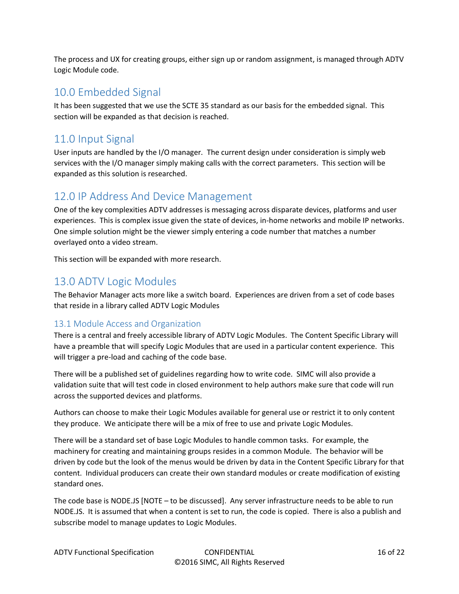The process and UX for creating groups, either sign up or random assignment, is managed through ADTV Logic Module code.

## 10.0 Embedded Signal

It has been suggested that we use the SCTE 35 standard as our basis for the embedded signal. This section will be expanded as that decision is reached.

# 11.0 Input Signal

User inputs are handled by the I/O manager. The current design under consideration is simply web services with the I/O manager simply making calls with the correct parameters. This section will be expanded as this solution is researched.

### 12.0 IP Address And Device Management

One of the key complexities ADTV addresses is messaging across disparate devices, platforms and user experiences. This is complex issue given the state of devices, in-home networks and mobile IP networks. One simple solution might be the viewer simply entering a code number that matches a number overlayed onto a video stream.

This section will be expanded with more research.

# 13.0 ADTV Logic Modules

The Behavior Manager acts more like a switch board. Experiences are driven from a set of code bases that reside in a library called ADTV Logic Modules

#### 13.1 Module Access and Organization

There is a central and freely accessible library of ADTV Logic Modules. The Content Specific Library will have a preamble that will specify Logic Modules that are used in a particular content experience. This will trigger a pre-load and caching of the code base.

There will be a published set of guidelines regarding how to write code. SIMC will also provide a validation suite that will test code in closed environment to help authors make sure that code will run across the supported devices and platforms.

Authors can choose to make their Logic Modules available for general use or restrict it to only content they produce. We anticipate there will be a mix of free to use and private Logic Modules.

There will be a standard set of base Logic Modules to handle common tasks. For example, the machinery for creating and maintaining groups resides in a common Module. The behavior will be driven by code but the look of the menus would be driven by data in the Content Specific Library for that content. Individual producers can create their own standard modules or create modification of existing standard ones.

The code base is NODE.JS [NOTE – to be discussed]. Any server infrastructure needs to be able to run NODE.JS. It is assumed that when a content is set to run, the code is copied. There is also a publish and subscribe model to manage updates to Logic Modules.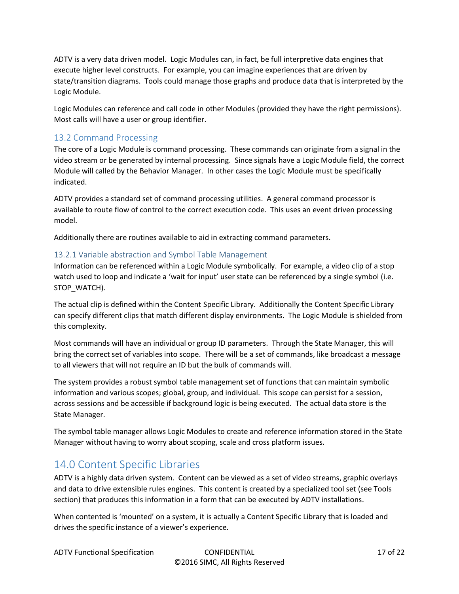ADTV is a very data driven model. Logic Modules can, in fact, be full interpretive data engines that execute higher level constructs. For example, you can imagine experiences that are driven by state/transition diagrams. Tools could manage those graphs and produce data that is interpreted by the Logic Module.

Logic Modules can reference and call code in other Modules (provided they have the right permissions). Most calls will have a user or group identifier.

#### 13.2 Command Processing

The core of a Logic Module is command processing. These commands can originate from a signal in the video stream or be generated by internal processing. Since signals have a Logic Module field, the correct Module will called by the Behavior Manager. In other cases the Logic Module must be specifically indicated.

ADTV provides a standard set of command processing utilities. A general command processor is available to route flow of control to the correct execution code. This uses an event driven processing model.

Additionally there are routines available to aid in extracting command parameters.

#### 13.2.1 Variable abstraction and Symbol Table Management

Information can be referenced within a Logic Module symbolically. For example, a video clip of a stop watch used to loop and indicate a 'wait for input' user state can be referenced by a single symbol (i.e. STOP\_WATCH).

The actual clip is defined within the Content Specific Library. Additionally the Content Specific Library can specify different clips that match different display environments. The Logic Module is shielded from this complexity.

Most commands will have an individual or group ID parameters. Through the State Manager, this will bring the correct set of variables into scope. There will be a set of commands, like broadcast a message to all viewers that will not require an ID but the bulk of commands will.

The system provides a robust symbol table management set of functions that can maintain symbolic information and various scopes; global, group, and individual. This scope can persist for a session, across sessions and be accessible if background logic is being executed. The actual data store is the State Manager.

The symbol table manager allows Logic Modules to create and reference information stored in the State Manager without having to worry about scoping, scale and cross platform issues.

## 14.0 Content Specific Libraries

ADTV is a highly data driven system. Content can be viewed as a set of video streams, graphic overlays and data to drive extensible rules engines. This content is created by a specialized tool set (see Tools section) that produces this information in a form that can be executed by ADTV installations.

When contented is 'mounted' on a system, it is actually a Content Specific Library that is loaded and drives the specific instance of a viewer's experience.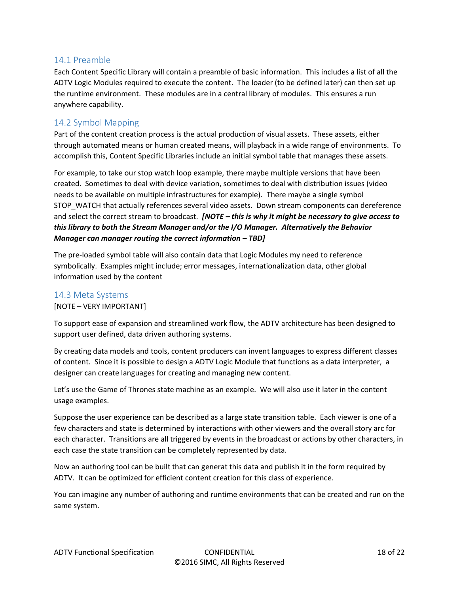#### 14.1 Preamble

Each Content Specific Library will contain a preamble of basic information. This includes a list of all the ADTV Logic Modules required to execute the content. The loader (to be defined later) can then set up the runtime environment. These modules are in a central library of modules. This ensures a run anywhere capability.

#### 14.2 Symbol Mapping

Part of the content creation process is the actual production of visual assets. These assets, either through automated means or human created means, will playback in a wide range of environments. To accomplish this, Content Specific Libraries include an initial symbol table that manages these assets.

For example, to take our stop watch loop example, there maybe multiple versions that have been created. Sometimes to deal with device variation, sometimes to deal with distribution issues (video needs to be available on multiple infrastructures for example). There maybe a single symbol STOP\_WATCH that actually references several video assets. Down stream components can dereference and select the correct stream to broadcast. *[NOTE – this is why it might be necessary to give access to this library to both the Stream Manager and/or the I/O Manager. Alternatively the Behavior Manager can manager routing the correct information – TBD]* 

The pre-loaded symbol table will also contain data that Logic Modules my need to reference symbolically. Examples might include; error messages, internationalization data, other global information used by the content

#### 14.3 Meta Systems

#### [NOTE – VERY IMPORTANT]

To support ease of expansion and streamlined work flow, the ADTV architecture has been designed to support user defined, data driven authoring systems.

By creating data models and tools, content producers can invent languages to express different classes of content. Since it is possible to design a ADTV Logic Module that functions as a data interpreter, a designer can create languages for creating and managing new content.

Let's use the Game of Thrones state machine as an example. We will also use it later in the content usage examples.

Suppose the user experience can be described as a large state transition table. Each viewer is one of a few characters and state is determined by interactions with other viewers and the overall story arc for each character. Transitions are all triggered by events in the broadcast or actions by other characters, in each case the state transition can be completely represented by data.

Now an authoring tool can be built that can generat this data and publish it in the form required by ADTV. It can be optimized for efficient content creation for this class of experience.

You can imagine any number of authoring and runtime environments that can be created and run on the same system.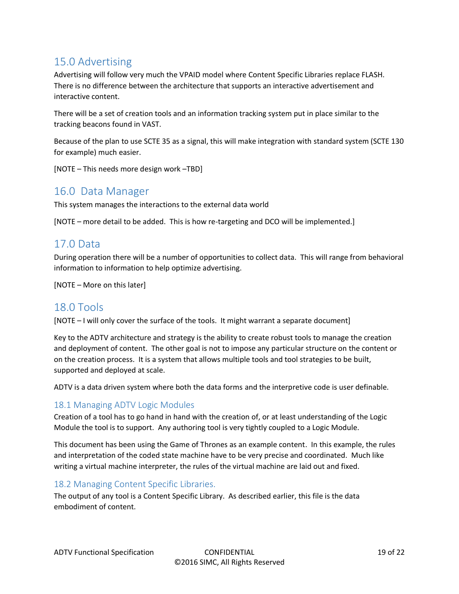# 15.0 Advertising

Advertising will follow very much the VPAID model where Content Specific Libraries replace FLASH. There is no difference between the architecture that supports an interactive advertisement and interactive content.

There will be a set of creation tools and an information tracking system put in place similar to the tracking beacons found in VAST.

Because of the plan to use SCTE 35 as a signal, this will make integration with standard system (SCTE 130 for example) much easier.

[NOTE – This needs more design work –TBD]

### 16.0 Data Manager

This system manages the interactions to the external data world

[NOTE – more detail to be added. This is how re-targeting and DCO will be implemented.]

### 17.0 Data

During operation there will be a number of opportunities to collect data. This will range from behavioral information to information to help optimize advertising.

[NOTE – More on this later]

### 18.0 Tools

[NOTE – I will only cover the surface of the tools. It might warrant a separate document]

Key to the ADTV architecture and strategy is the ability to create robust tools to manage the creation and deployment of content. The other goal is not to impose any particular structure on the content or on the creation process. It is a system that allows multiple tools and tool strategies to be built, supported and deployed at scale.

ADTV is a data driven system where both the data forms and the interpretive code is user definable.

#### 18.1 Managing ADTV Logic Modules

Creation of a tool has to go hand in hand with the creation of, or at least understanding of the Logic Module the tool is to support. Any authoring tool is very tightly coupled to a Logic Module.

This document has been using the Game of Thrones as an example content. In this example, the rules and interpretation of the coded state machine have to be very precise and coordinated. Much like writing a virtual machine interpreter, the rules of the virtual machine are laid out and fixed.

#### 18.2 Managing Content Specific Libraries.

The output of any tool is a Content Specific Library. As described earlier, this file is the data embodiment of content.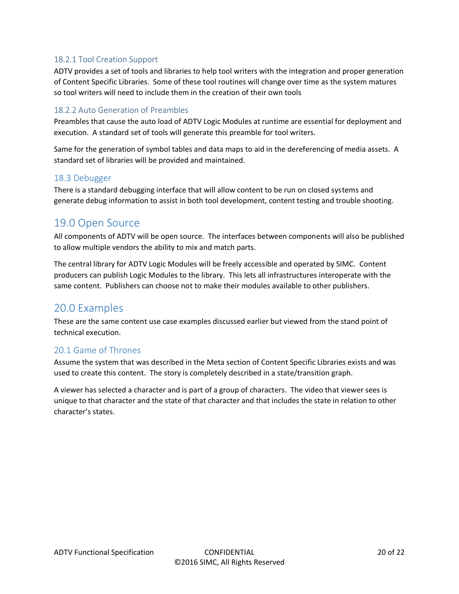#### 18.2.1 Tool Creation Support

ADTV provides a set of tools and libraries to help tool writers with the integration and proper generation of Content Specific Libraries. Some of these tool routines will change over time as the system matures so tool writers will need to include them in the creation of their own tools

#### 18.2.2 Auto Generation of Preambles

Preambles that cause the auto load of ADTV Logic Modules at runtime are essential for deployment and execution. A standard set of tools will generate this preamble for tool writers.

Same for the generation of symbol tables and data maps to aid in the dereferencing of media assets. A standard set of libraries will be provided and maintained.

#### 18.3 Debugger

There is a standard debugging interface that will allow content to be run on closed systems and generate debug information to assist in both tool development, content testing and trouble shooting.

### 19.0 Open Source

All components of ADTV will be open source. The interfaces between components will also be published to allow multiple vendors the ability to mix and match parts.

The central library for ADTV Logic Modules will be freely accessible and operated by SIMC. Content producers can publish Logic Modules to the library. This lets all infrastructures interoperate with the same content. Publishers can choose not to make their modules available to other publishers.

### 20.0 Examples

These are the same content use case examples discussed earlier but viewed from the stand point of technical execution.

#### 20.1 Game of Thrones

Assume the system that was described in the Meta section of Content Specific Libraries exists and was used to create this content. The story is completely described in a state/transition graph.

A viewer has selected a character and is part of a group of characters. The video that viewer sees is unique to that character and the state of that character and that includes the state in relation to other character's states.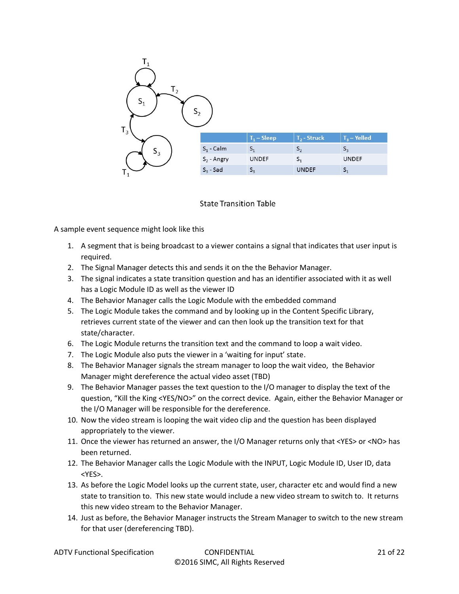

#### **State Transition Table**

A sample event sequence might look like this

- 1. A segment that is being broadcast to a viewer contains a signal that indicates that user input is required.
- 2. The Signal Manager detects this and sends it on the the Behavior Manager.
- 3. The signal indicates a state transition question and has an identifier associated with it as well has a Logic Module ID as well as the viewer ID
- 4. The Behavior Manager calls the Logic Module with the embedded command
- 5. The Logic Module takes the command and by looking up in the Content Specific Library, retrieves current state of the viewer and can then look up the transition text for that state/character.
- 6. The Logic Module returns the transition text and the command to loop a wait video.
- 7. The Logic Module also puts the viewer in a 'waiting for input' state.
- 8. The Behavior Manager signals the stream manager to loop the wait video, the Behavior Manager might dereference the actual video asset (TBD)
- 9. The Behavior Manager passes the text question to the I/O manager to display the text of the question, "Kill the King <YES/NO>" on the correct device. Again, either the Behavior Manager or the I/O Manager will be responsible for the dereference.
- 10. Now the video stream is looping the wait video clip and the question has been displayed appropriately to the viewer.
- 11. Once the viewer has returned an answer, the I/O Manager returns only that <YES> or <NO> has been returned.
- 12. The Behavior Manager calls the Logic Module with the INPUT, Logic Module ID, User ID, data <YES>.
- 13. As before the Logic Model looks up the current state, user, character etc and would find a new state to transition to. This new state would include a new video stream to switch to. It returns this new video stream to the Behavior Manager.
- 14. Just as before, the Behavior Manager instructs the Stream Manager to switch to the new stream for that user (dereferencing TBD).